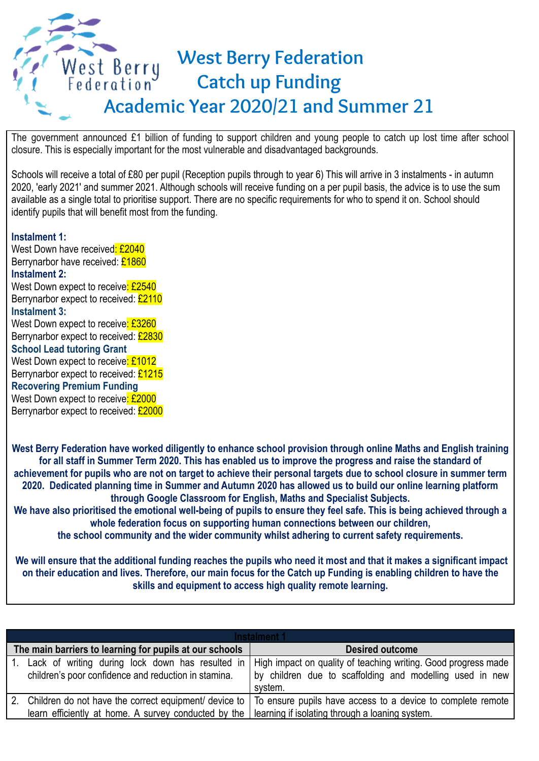## **West Berry Federation** West Berry **Catch up Funding Academic Year 2020/21 and Summer 21**

The government announced £1 billion of funding to support children and young people to catch up lost time after school closure. This is especially important for the most vulnerable and disadvantaged backgrounds.

Schools will receive a total of £80 per pupil (Reception pupils through to year 6) This will arrive in 3 instalments - in autumn 2020, 'early 2021' and summer 2021. Although schools will receive funding on a per pupil basis, the advice is to use the sum available as a single total to prioritise support. There are no specific requirements for who to spend it on. School should identify pupils that will benefit most from the funding.

## **Instalment 1:**

West Down have received: £2040 Berrynarbor have received: £1860 **Instalment 2:** West Down expect to receive: £2540 Berrynarbor expect to received: £2110 **Instalment 3:** West Down expect to receive: £3260 Berrynarbor expect to received: £2830 **School Lead tutoring Grant** West Down expect to receive: £1012 Berrynarbor expect to received: £1215 **Recovering Premium Funding** West Down expect to receive: £2000 Berrynarbor expect to received: £2000

**West Berry Federation have worked diligently to enhance school provision through online Maths and English training for all staff in Summer Term 2020. This has enabled us to improve the progress and raise the standard of achievement for pupils who are not on target to achieve their personal targets due to school closure in summer term 2020. Dedicated planning time in Summer and Autumn 2020 has allowed us to build our online learning platform through Google Classroom for English, Maths and Specialist Subjects. We have also prioritised the emotional well-being of pupils to ensure they feel safe. This is being achieved through a whole federation focus on supporting human connections between our children,**

**the school community and the wider community whilst adhering to current safety requirements.**

**We will ensure that the additional funding reaches the pupils who need it most and that it makes a significant impact on their education and lives. Therefore, our main focus for the Catch up Funding is enabling children to have the skills and equipment to access high quality remote learning.**

| Instalment 1                                                                                                 |                                                                                                                                       |  |  |
|--------------------------------------------------------------------------------------------------------------|---------------------------------------------------------------------------------------------------------------------------------------|--|--|
| The main barriers to learning for pupils at our schools                                                      | <b>Desired outcome</b>                                                                                                                |  |  |
| 1. Lack of writing during lock down has resulted in<br>children's poor confidence and reduction in stamina.  | High impact on quality of teaching writing. Good progress made<br>by children due to scaffolding and modelling used in new<br>system. |  |  |
|                                                                                                              | 2. Children do not have the correct equipment/ device to   To ensure pupils have access to a device to complete remote                |  |  |
| learn efficiently at home. A survey conducted by the $\vert$ learning if isolating through a loaning system. |                                                                                                                                       |  |  |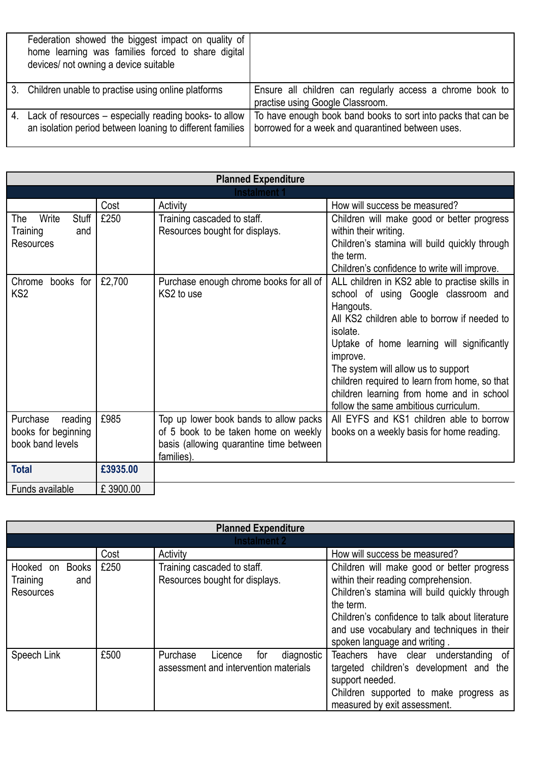|    | Federation showed the biggest impact on quality of<br>home learning was families forced to share digital<br>devices/ not owning a device suitable |                                                                                                                    |
|----|---------------------------------------------------------------------------------------------------------------------------------------------------|--------------------------------------------------------------------------------------------------------------------|
|    | 3. Children unable to practise using online platforms                                                                                             | Ensure all children can regularly access a chrome book to<br>practise using Google Classroom.                      |
| 4. | Lack of resources – especially reading books- to allow<br>an isolation period between loaning to different families                               | To have enough book band books to sort into packs that can be<br>borrowed for a week and quarantined between uses. |

| <b>Planned Expenditure</b>     |          |                                                                                |                                                                                    |
|--------------------------------|----------|--------------------------------------------------------------------------------|------------------------------------------------------------------------------------|
| Instalment 1                   |          |                                                                                |                                                                                    |
|                                | Cost     | Activity                                                                       | How will success be measured?                                                      |
| <b>Stuff</b><br>Write<br>The   | £250     | Training cascaded to staff.                                                    | Children will make good or better progress                                         |
| Training<br>and                |          | Resources bought for displays.                                                 | within their writing.                                                              |
| <b>Resources</b>               |          |                                                                                | Children's stamina will build quickly through                                      |
|                                |          |                                                                                | the term.                                                                          |
|                                |          |                                                                                | Children's confidence to write will improve.                                       |
| books for<br>Chrome            | £2,700   | Purchase enough chrome books for all of                                        | ALL children in KS2 able to practise skills in                                     |
| KS <sub>2</sub>                |          | KS2 to use                                                                     | school of using Google classroom and                                               |
|                                |          |                                                                                | Hangouts.                                                                          |
|                                |          |                                                                                | All KS2 children able to borrow if needed to                                       |
|                                |          |                                                                                | isolate.                                                                           |
|                                |          |                                                                                | Uptake of home learning will significantly                                         |
|                                |          |                                                                                | improve.                                                                           |
|                                |          |                                                                                | The system will allow us to support                                                |
|                                |          |                                                                                | children required to learn from home, so that                                      |
|                                |          |                                                                                | children learning from home and in school<br>follow the same ambitious curriculum. |
| Purchase                       | £985     |                                                                                | All EYFS and KS1 children able to borrow                                           |
| reading<br>books for beginning |          | Top up lower book bands to allow packs<br>of 5 book to be taken home on weekly |                                                                                    |
| book band levels               |          | basis (allowing quarantine time between                                        | books on a weekly basis for home reading.                                          |
|                                |          | families).                                                                     |                                                                                    |
| <b>Total</b>                   | £3935,00 |                                                                                |                                                                                    |
| Funds available                | £3900.00 |                                                                                |                                                                                    |

| <b>Planned Expenditure</b>                                |      |                                                                                   |                                                                                                                                                                                                                                                                                 |  |
|-----------------------------------------------------------|------|-----------------------------------------------------------------------------------|---------------------------------------------------------------------------------------------------------------------------------------------------------------------------------------------------------------------------------------------------------------------------------|--|
| <b>Instalment 2</b>                                       |      |                                                                                   |                                                                                                                                                                                                                                                                                 |  |
|                                                           | Cost | Activity                                                                          | How will success be measured?                                                                                                                                                                                                                                                   |  |
| Books<br>Hooked on<br>Training<br>and<br><b>Resources</b> | £250 | Training cascaded to staff.<br>Resources bought for displays.                     | Children will make good or better progress<br>within their reading comprehension.<br>Children's stamina will build quickly through<br>the term.<br>Children's confidence to talk about literature<br>and use vocabulary and techniques in their<br>spoken language and writing. |  |
| Speech Link                                               | £500 | Purchase<br>diagnostic<br>Licence<br>for<br>assessment and intervention materials | Teachers have clear understanding of<br>targeted children's development and the<br>support needed.<br>Children supported to make progress as<br>measured by exit assessment.                                                                                                    |  |